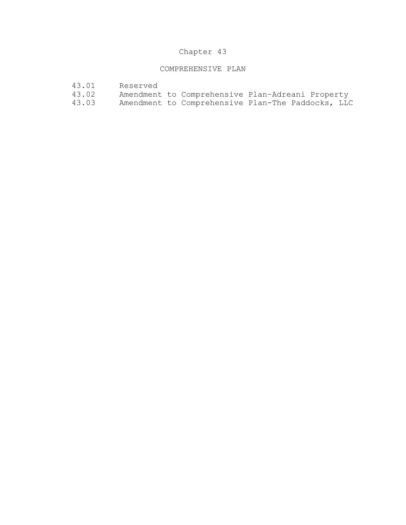## Chapter 43

## COMPREHENSIVE PLAN

- 43.01 Reserved<br>43.02 Amendment
- 43.02 Amendment to Comprehensive Plan-Adreani Property<br>43.03 Amendment to Comprehensive Plan-The Paddocks, LLC
- Amendment to Comprehensive Plan-The Paddocks, LLC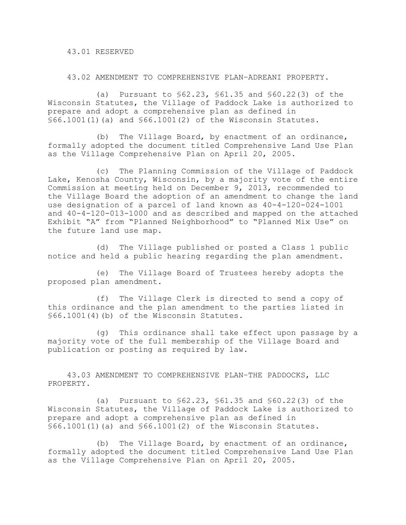43.01 RESERVED

43.02 AMENDMENT TO COMPREHENSIVE PLAN–ADREANI PROPERTY.

(a) Pursuant to §62.23, §61.35 and §60.22(3) of the Wisconsin Statutes, the Village of Paddock Lake is authorized to prepare and adopt a comprehensive plan as defined in §66.1001(1)(a) and §66.1001(2) of the Wisconsin Statutes.

(b) The Village Board, by enactment of an ordinance, formally adopted the document titled Comprehensive Land Use Plan as the Village Comprehensive Plan on April 20, 2005.

(c) The Planning Commission of the Village of Paddock Lake, Kenosha County, Wisconsin, by a majority vote of the entire Commission at meeting held on December 9, 2013, recommended to the Village Board the adoption of an amendment to change the land use designation of a parcel of land known as 40-4-120-024-1001 and 40-4-120-013-1000 and as described and mapped on the attached Exhibit "A" from "Planned Neighborhood" to "Planned Mix Use" on the future land use map.

(d) The Village published or posted a Class 1 public notice and held a public hearing regarding the plan amendment.

(e) The Village Board of Trustees hereby adopts the proposed plan amendment.

(f) The Village Clerk is directed to send a copy of this ordinance and the plan amendment to the parties listed in §66.1001(4)(b) of the Wisconsin Statutes.

(g) This ordinance shall take effect upon passage by a majority vote of the full membership of the Village Board and publication or posting as required by law.

 43.03 AMENDMENT TO COMPREHENSIVE PLAN–THE PADDOCKS, LLC PROPERTY.

(a) Pursuant to §62.23, §61.35 and §60.22(3) of the Wisconsin Statutes, the Village of Paddock Lake is authorized to prepare and adopt a comprehensive plan as defined in §66.1001(1)(a) and §66.1001(2) of the Wisconsin Statutes.

(b) The Village Board, by enactment of an ordinance, formally adopted the document titled Comprehensive Land Use Plan as the Village Comprehensive Plan on April 20, 2005.